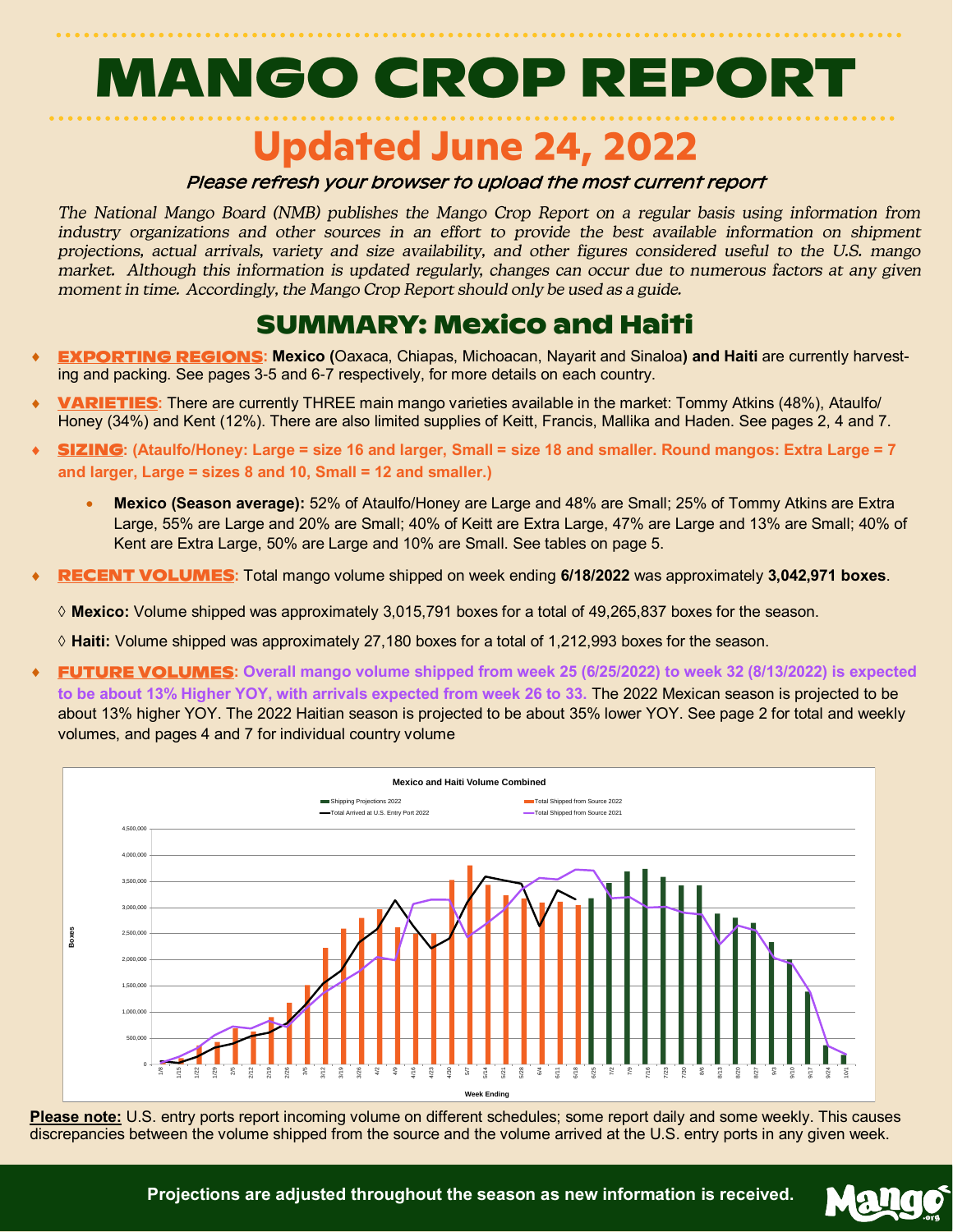# **MANGO CROP REPORT**

### **Updated June 24, 2022**

### Please refresh your browser to upload the most current report

The National Mango Board (NMB) publishes the Mango Crop Report on a regular basis using information from industry organizations and other sources in an effort to provide the best available information on shipment projections, actual arrivals, variety and size availability, and other figures considered useful to the U.S. mango market. Although this information is updated regularly, changes can occur due to numerous factors at any given moment in time. Accordingly, the Mango Crop Report should only be used as a guide.

### **SUMMARY: Mexico and Haiti**

- **EXPORTING REGIONS: Mexico (Oaxaca, Chiapas, Michoacan, Nayarit and Sinaloa) and Haiti are currently harvest**ing and packing. See pages 3-5 and 6-7 respectively, for more details on each country.
- **VARIETIES:** There are currently THREE main mango varieties available in the market: Tommy Atkins (48%), Ataulfo/ Honey (34%) and Kent (12%). There are also limited supplies of Keitt, Francis, Mallika and Haden. See pages 2, 4 and 7.
- **: (Ataulfo/Honey: Large = size 16 and larger, Small = size 18 and smaller. Round mangos: Extra Large = 7 and larger, Large = sizes 8 and 10, Small = 12 and smaller.)** 
	- **Mexico (Season average):** 52% of Ataulfo/Honey are Large and 48% are Small; 25% of Tommy Atkins are Extra Large, 55% are Large and 20% are Small; 40% of Keitt are Extra Large, 47% are Large and 13% are Small; 40% of Kent are Extra Large, 50% are Large and 10% are Small. See tables on page 5.
- **RECENT VOLUMES:** Total mango volume shipped on week ending 6/18/2022 was approximately 3,042,971 boxes.
	- **Mexico:** Volume shipped was approximately 3,015,791 boxes for a total of 49,265,837 boxes for the season.
	- **Haiti:** Volume shipped was approximately 27,180 boxes for a total of 1,212,993 boxes for the season.
- **FUTURE VOLUMES:** Overall mango volume shipped from week 25 (6/25/2022) to week 32 (8/13/2022) is expected **to be about 13% Higher YOY, with arrivals expected from week 26 to 33.** The 2022 Mexican season is projected to be about 13% higher YOY. The 2022 Haitian season is projected to be about 35% lower YOY. See page 2 for total and weekly volumes, and pages 4 and 7 for individual country volume



**Please note:** U.S. entry ports report incoming volume on different schedules; some report daily and some weekly. This causes discrepancies between the volume shipped from the source and the volume arrived at the U.S. entry ports in any given week.

Mallo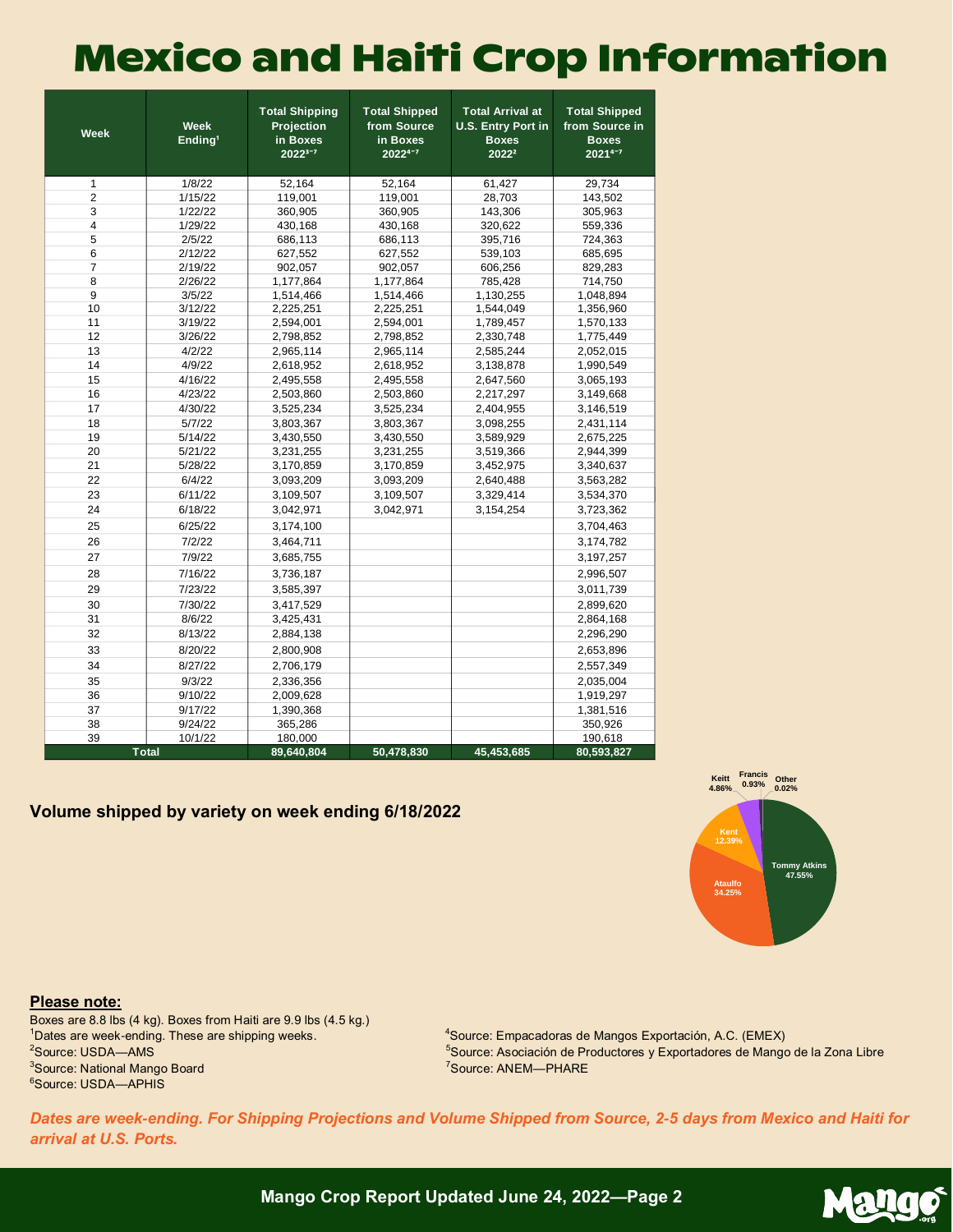### **Mexico and Haiti Crop Information**

| <b>Week</b>    | <b>Week</b><br>Ending <sup>1</sup> | <b>Total Shipping</b><br>Projection<br>in Boxes<br>$2022^{3-7}$ | <b>Total Shipped</b><br>from Source<br>in Boxes<br>20224-7 | <b>Total Arrival at</b><br><b>U.S. Entry Port in</b><br><b>Boxes</b><br>2022 <sup>2</sup> | <b>Total Shipped</b><br>from Source in<br><b>Boxes</b><br>20214-7 |
|----------------|------------------------------------|-----------------------------------------------------------------|------------------------------------------------------------|-------------------------------------------------------------------------------------------|-------------------------------------------------------------------|
| $\mathbf{1}$   | 1/8/22                             | 52,164                                                          | 52,164                                                     | 61,427                                                                                    | 29,734                                                            |
| $\overline{2}$ | 1/15/22                            | 119,001                                                         | 119,001                                                    | 28,703                                                                                    | 143,502                                                           |
| 3              | 1/22/22                            | 360,905                                                         | 360,905                                                    | 143,306                                                                                   | 305,963                                                           |
| $\overline{4}$ | 1/29/22                            | 430,168                                                         | 430,168                                                    | 320,622                                                                                   | 559,336                                                           |
| 5              | 2/5/22                             | 686,113                                                         | 686,113                                                    | 395,716                                                                                   | 724,363                                                           |
| 6              | 2/12/22                            | 627,552                                                         | 627,552                                                    | 539,103                                                                                   | 685,695                                                           |
| $\overline{7}$ | 2/19/22                            | 902,057                                                         | 902,057                                                    | 606,256                                                                                   | 829,283                                                           |
| 8              | 2/26/22                            | 1,177,864                                                       | 1,177,864                                                  | 785,428                                                                                   | 714,750                                                           |
| 9              | 3/5/22                             | 1,514,466                                                       | 1,514,466                                                  | 1,130,255                                                                                 | 1,048,894                                                         |
| 10             | 3/12/22                            | 2,225,251                                                       | 2,225,251                                                  | 1,544,049                                                                                 | 1,356,960                                                         |
| 11             | 3/19/22                            | 2,594,001                                                       | 2,594,001                                                  | 1,789,457                                                                                 | 1,570,133                                                         |
| 12             | 3/26/22                            | 2,798,852                                                       | 2,798,852                                                  | 2,330,748                                                                                 | 1,775,449                                                         |
| 13             | 4/2/22                             | 2,965,114                                                       | 2,965,114                                                  | 2,585,244                                                                                 | 2,052,015                                                         |
| 14             | 4/9/22                             | 2,618,952                                                       | 2,618,952                                                  | 3,138,878                                                                                 | 1,990,549                                                         |
| 15             | 4/16/22                            | 2,495,558                                                       | 2,495,558                                                  | 2,647,560                                                                                 | 3,065,193                                                         |
| 16             | 4/23/22                            | 2,503,860                                                       | 2,503,860                                                  | 2,217,297                                                                                 | 3,149,668                                                         |
| 17             | 4/30/22                            | 3,525,234                                                       | 3,525,234                                                  | 2,404,955                                                                                 | 3,146,519                                                         |
| 18             | 5/7/22                             | 3,803,367                                                       | 3,803,367                                                  | 3,098,255                                                                                 | 2,431,114                                                         |
| 19             | 5/14/22                            | 3,430,550                                                       | 3,430,550                                                  | 3,589,929                                                                                 | 2,675,225                                                         |
| 20             | 5/21/22                            | 3,231,255                                                       | 3,231,255                                                  | 3,519,366                                                                                 | 2,944,399                                                         |
| 21             | 5/28/22                            | 3,170,859                                                       | 3,170,859                                                  | 3,452,975                                                                                 | 3,340,637                                                         |
| 22             | 6/4/22                             | 3,093,209                                                       | 3,093,209                                                  | 2,640,488                                                                                 | 3,563,282                                                         |
| 23             | 6/11/22                            | 3,109,507                                                       | 3,109,507                                                  | 3,329,414                                                                                 | 3,534,370                                                         |
| 24             | 6/18/22                            | 3,042,971                                                       | 3.042.971                                                  | 3,154,254                                                                                 | 3,723,362                                                         |
| 25             | 6/25/22                            | 3,174,100                                                       |                                                            |                                                                                           | 3,704,463                                                         |
| 26             | 7/2/22                             | 3,464,711                                                       |                                                            |                                                                                           | 3,174,782                                                         |
| 27             | 7/9/22                             | 3,685,755                                                       |                                                            |                                                                                           | 3,197,257                                                         |
| 28             | 7/16/22                            | 3,736,187                                                       |                                                            |                                                                                           | 2,996,507                                                         |
| 29             | 7/23/22                            | 3,585,397                                                       |                                                            |                                                                                           | 3,011,739                                                         |
| 30             | 7/30/22                            | 3,417,529                                                       |                                                            |                                                                                           | 2,899,620                                                         |
| 31             | 8/6/22                             | 3,425,431                                                       |                                                            |                                                                                           | 2,864,168                                                         |
| 32             | 8/13/22                            | 2,884,138                                                       |                                                            |                                                                                           | 2,296,290                                                         |
| 33             | 8/20/22                            | 2,800,908                                                       |                                                            |                                                                                           | 2,653,896                                                         |
| 34             | 8/27/22                            | 2,706,179                                                       |                                                            |                                                                                           | 2,557,349                                                         |
| 35             | 9/3/22                             | 2,336,356                                                       |                                                            |                                                                                           | 2,035,004                                                         |
| 36             | 9/10/22                            | 2,009,628                                                       |                                                            |                                                                                           | 1,919,297                                                         |
| 37             | 9/17/22                            | 1,390,368                                                       |                                                            |                                                                                           | 1,381,516                                                         |
| 38             | 9/24/22                            | 365,286                                                         |                                                            |                                                                                           | 350,926                                                           |
| 39             | 10/1/22                            | 180,000                                                         |                                                            |                                                                                           | 190,618                                                           |
|                | <b>Total</b>                       | 89,640,804                                                      | 50,478,830                                                 | 45,453,685                                                                                | 80,593,827                                                        |

### **Volume shipped by variety on week ending 6/18/2022**



#### **Please note:**

Boxes are 8.8 lbs (4 kg). Boxes from Haiti are 9.9 lbs (4.5 kg.) Dates are week-ending. These are shipping weeks. <sup>4</sup>Source: Empacadoras de Mangos Exportación, A.C. (EMEX) <sup>2</sup>Source: USDA-AMS Source: National Mango Board Source: USDA—APHIS

<sup>5</sup>Source: Asociación de Productores y Exportadores de Mango de la Zona Libre Source: ANEM—PHARE

*Dates are week-ending. For Shipping Projections and Volume Shipped from Source, 2-5 days from Mexico and Haiti for arrival at U.S. Ports.*

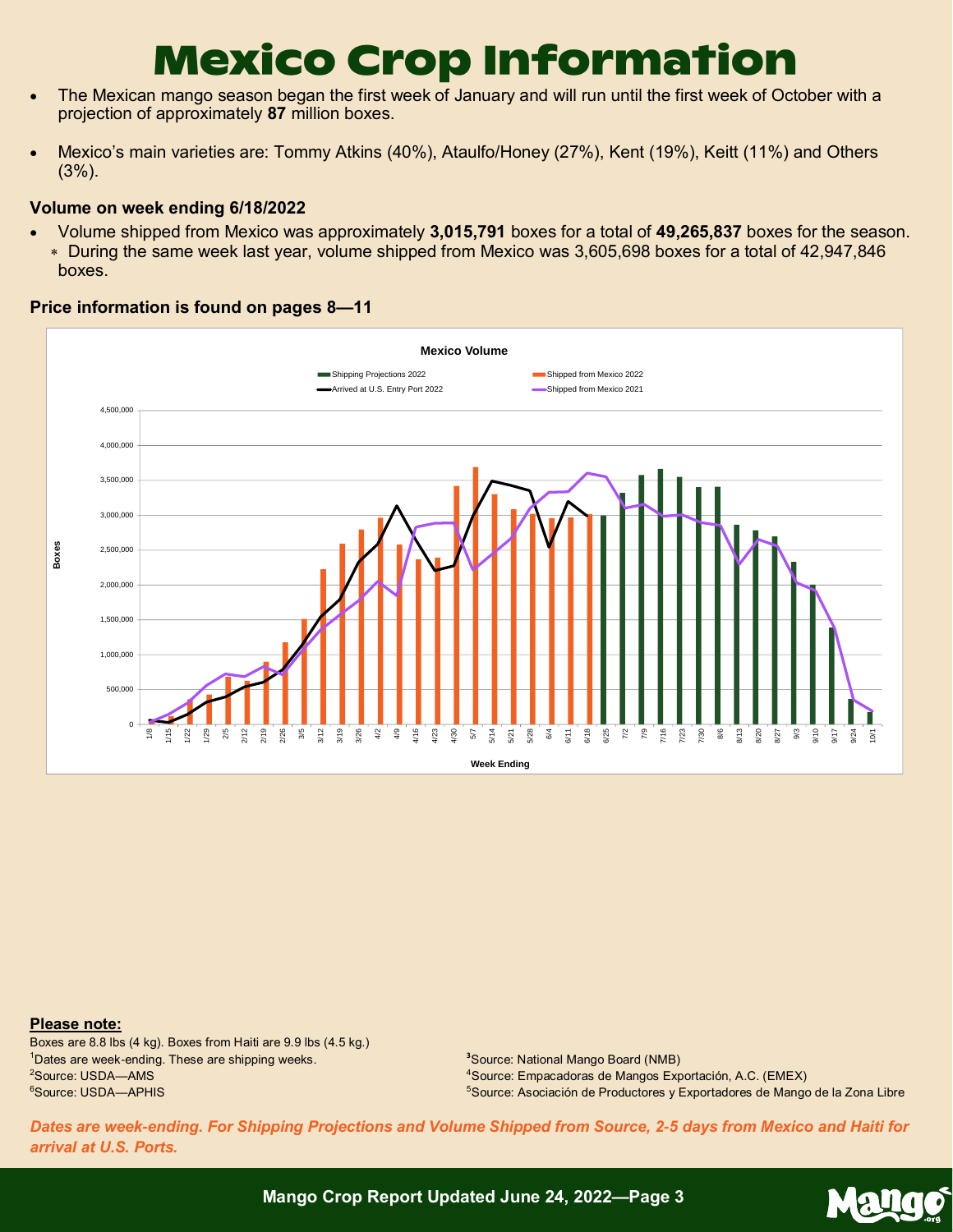## **Mexico Crop Information**

- The Mexican mango season began the first week of January and will run until the first week of October with a projection of approximately **87** million boxes.
- Mexico's main varieties are: Tommy Atkins (40%), Ataulfo/Honey (27%), Kent (19%), Keitt (11%) and Others (3%).

### **Volume on week ending 6/18/2022**

• Volume shipped from Mexico was approximately **3,015,791** boxes for a total of **49,265,837** boxes for the season. During the same week last year, volume shipped from Mexico was 3,605,698 boxes for a total of 42,947,846 boxes.

### **Price information is found on pages 8—11**



#### **Please note:**

Boxes are 8.8 lbs (4 kg). Boxes from Haiti are 9.9 lbs (4.5 kg.) <sup>1</sup>Dates are week-ending. These are shipping weeks. <sup>2</sup>Source: USDA—AMS <sup>6</sup>Source: USDA—APHIS

**<sup>3</sup>**Source: National Mango Board (NMB) <sup>4</sup>Source: Empacadoras de Mangos Exportación, A.C. (EMEX) <sup>5</sup>Source: Asociación de Productores y Exportadores de Mango de la Zona Libre

*Dates are week-ending. For Shipping Projections and Volume Shipped from Source, 2-5 days from Mexico and Haiti for arrival at U.S. Ports.*

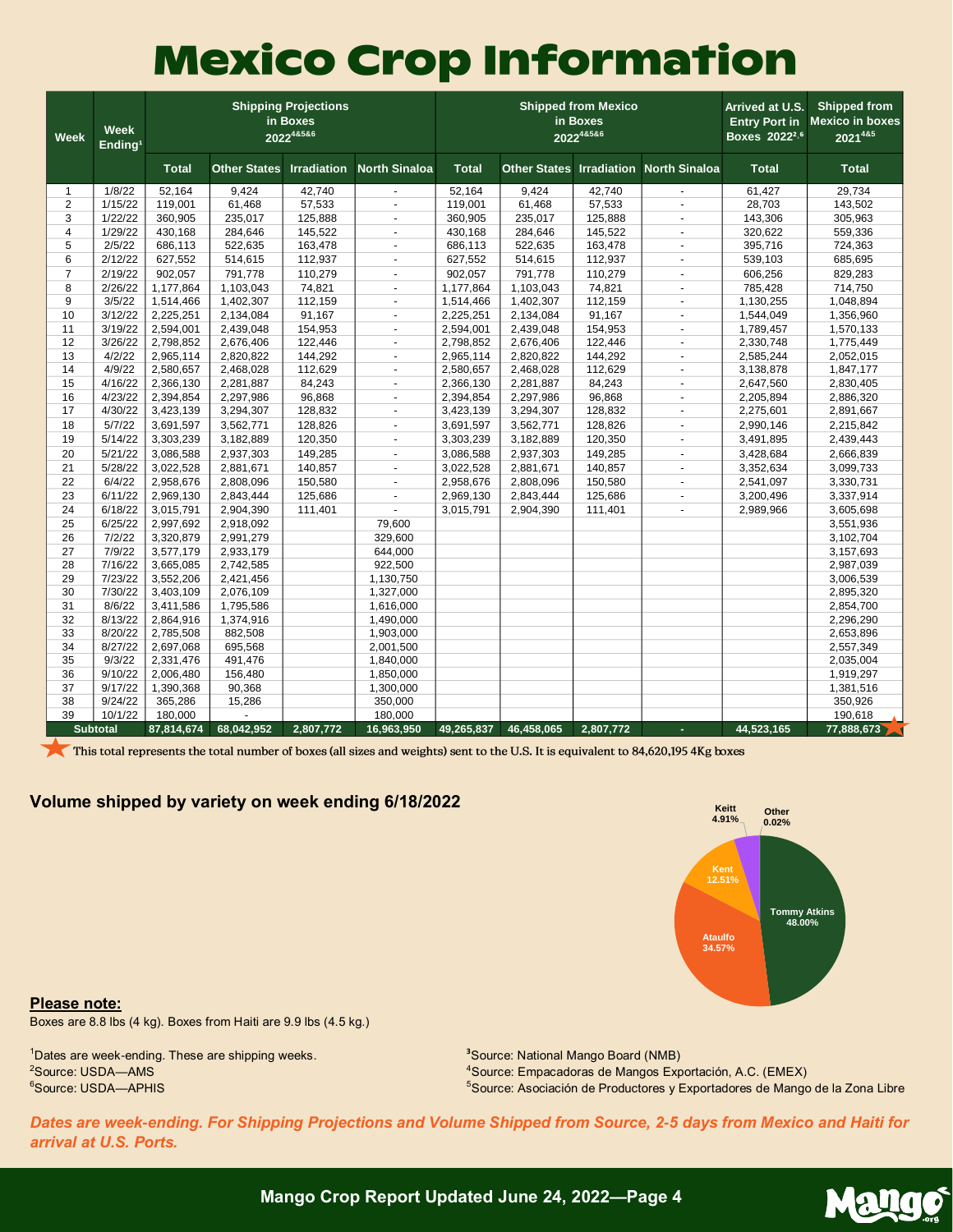## **Mexico Crop Information**

| <b>Week</b>    | <b>Week</b><br>Ending <sup>1</sup> |              |                     | <b>Shipping Projections</b><br>in Boxes<br>202248586 |                          |              |                     | <b>Shipped from Mexico</b><br>in Boxes<br>202248586 | Arrived at U.S.<br><b>Entry Port in</b><br>Boxes 2022 <sup>2,6</sup> | <b>Shipped from</b><br><b>Mexico in boxes</b><br>2021485 |              |
|----------------|------------------------------------|--------------|---------------------|------------------------------------------------------|--------------------------|--------------|---------------------|-----------------------------------------------------|----------------------------------------------------------------------|----------------------------------------------------------|--------------|
|                |                                    | <b>Total</b> | <b>Other States</b> | <b>Irradiation</b>                                   | <b>North Sinaloa</b>     | <b>Total</b> | <b>Other States</b> | <b>Irradiation</b>                                  | <b>North Sinaloa</b>                                                 | <b>Total</b>                                             | <b>Total</b> |
| $\mathbf{1}$   | 1/8/22                             | 52,164       | 9,424               | 42,740                                               |                          | 52,164       | 9,424               | 42,740                                              |                                                                      | 61,427                                                   | 29,734       |
| 2              | 1/15/22                            | 119,001      | 61,468              | 57,533                                               | $\omega$                 | 119,001      | 61,468              | 57,533                                              | $\overline{\phantom{a}}$                                             | 28,703                                                   | 143,502      |
| 3              | 1/22/22                            | 360,905      | 235,017             | 125,888                                              | $\blacksquare$           | 360,905      | 235,017             | 125,888                                             | $\overline{a}$                                                       | 143,306                                                  | 305,963      |
| 4              | 1/29/22                            | 430,168      | 284,646             | 145,522                                              | $\blacksquare$           | 430,168      | 284,646             | 145,522                                             | $\sim$                                                               | 320,622                                                  | 559,336      |
| 5              | 2/5/22                             | 686,113      | 522,635             | 163,478                                              | $\blacksquare$           | 686,113      | 522,635             | 163,478                                             | $\blacksquare$                                                       | 395,716                                                  | 724,363      |
| 6              | 2/12/22                            | 627,552      | 514,615             | 112,937                                              | $\sim$                   | 627,552      | 514,615             | 112,937                                             | $\overline{\phantom{a}}$                                             | 539,103                                                  | 685,695      |
| $\overline{7}$ | 2/19/22                            | 902,057      | 791,778             | 110,279                                              | $\omega$                 | 902,057      | 791,778             | 110,279                                             | $\mathbf{r}$                                                         | 606,256                                                  | 829,283      |
| 8              | 2/26/22                            | 1,177,864    | 1,103,043           | 74,821                                               | $\blacksquare$           | 1,177,864    | 1,103,043           | 74,821                                              | $\overline{\phantom{a}}$                                             | 785,428                                                  | 714,750      |
| 9              | 3/5/22                             | 1,514,466    | 1,402,307           | 112,159                                              |                          | 1,514,466    | 1,402,307           | 112,159                                             | ÷,                                                                   | 1,130,255                                                | 1,048,894    |
| 10             | 3/12/22                            | 2,225,251    | 2,134,084           | 91,167                                               | $\omega$                 | 2,225,251    | 2,134,084           | 91,167                                              | $\overline{\phantom{a}}$                                             | 1,544,049                                                | 1,356,960    |
| 11             | 3/19/22                            | 2,594,001    | 2,439,048           | 154,953                                              | $\sim$                   | 2,594,001    | 2,439,048           | 154,953                                             | ÷.                                                                   | 1,789,457                                                | 1,570,133    |
| 12             | 3/26/22                            | 2,798,852    | 2,676,406           | 122,446                                              | $\blacksquare$           | 2,798,852    | 2,676,406           | 122,446                                             | $\mathbf{r}$                                                         | 2,330,748                                                | 1,775,449    |
| 13             | 4/2/22                             | 2,965,114    | 2,820,822           | 144,292                                              | $\blacksquare$           | 2,965,114    | 2,820,822           | 144,292                                             | $\blacksquare$                                                       | 2,585,244                                                | 2,052,015    |
| 14             | 4/9/22                             | 2,580,657    | 2,468,028           | 112,629                                              | $\blacksquare$           | 2,580,657    | 2,468,028           | 112,629                                             | ä,                                                                   | 3,138,878                                                | 1,847,177    |
| 15             | 4/16/22                            | 2,366,130    | 2,281,887           | 84,243                                               | $\omega$                 | 2,366,130    | 2,281,887           | 84,243                                              | ÷,                                                                   | 2,647,560                                                | 2,830,405    |
| 16             | 4/23/22                            | 2,394,854    | 2,297,986           | 96,868                                               | $\blacksquare$           | 2,394,854    | 2,297,986           | 96,868                                              | ÷,                                                                   | 2,205,894                                                | 2,886,320    |
| 17             | 4/30/22                            | 3,423,139    | 3,294,307           | 128,832                                              | $\blacksquare$           | 3,423,139    | 3,294,307           | 128,832                                             | $\mathbf{r}$                                                         | 2,275,601                                                | 2,891,667    |
| 18             | 5/7/22                             | 3,691,597    | 3,562,771           | 128,826                                              | $\blacksquare$           | 3,691,597    | 3,562,771           | 128,826                                             | ÷,                                                                   | 2,990,146                                                | 2,215,842    |
| 19             | 5/14/22                            | 3,303,239    | 3,182,889           | 120,350                                              | $\overline{\phantom{a}}$ | 3,303,239    | 3,182,889           | 120,350                                             | ÷,                                                                   | 3,491,895                                                | 2,439,443    |
| 20             | 5/21/22                            | 3,086,588    | 2,937,303           | 149,285                                              | ÷.                       | 3,086,588    | 2,937,303           | 149,285                                             | $\overline{a}$                                                       | 3,428,684                                                | 2,666,839    |
| 21             | 5/28/22                            | 3,022,528    | 2,881,671           | 140,857                                              | $\blacksquare$           | 3,022,528    | 2,881,671           | 140,857                                             | $\overline{\phantom{a}}$                                             | 3,352,634                                                | 3,099,733    |
| 22             | 6/4/22                             | 2,958,676    | 2,808,096           | 150,580                                              | $\sim$                   | 2,958,676    | 2,808,096           | 150,580                                             | $\overline{\phantom{a}}$                                             | 2,541,097                                                | 3,330,731    |
| 23             | 6/11/22                            | 2,969,130    | 2,843,444           | 125,686                                              | $\overline{a}$           | 2,969,130    | 2,843,444           | 125,686                                             | ÷.                                                                   | 3,200,496                                                | 3,337,914    |
| 24             | 6/18/22                            | 3,015,791    | 2,904,390           | 111,401                                              |                          | 3,015,791    | 2,904,390           | 111,401                                             | ÷,                                                                   | 2,989,966                                                | 3,605,698    |
| 25             | 6/25/22                            | 2,997,692    | 2,918,092           |                                                      | 79,600                   |              |                     |                                                     |                                                                      |                                                          | 3,551,936    |
| 26             | 7/2/22                             | 3,320,879    | 2,991,279           |                                                      | 329,600                  |              |                     |                                                     |                                                                      |                                                          | 3,102,704    |
| 27             | 7/9/22                             | 3,577,179    | 2,933,179           |                                                      | 644,000                  |              |                     |                                                     |                                                                      |                                                          | 3,157,693    |
| 28             | 7/16/22                            | 3,665,085    | 2,742,585           |                                                      | 922,500                  |              |                     |                                                     |                                                                      |                                                          | 2,987,039    |
| 29             | 7/23/22                            | 3,552,206    | 2,421,456           |                                                      | 1,130,750                |              |                     |                                                     |                                                                      |                                                          | 3,006,539    |
| 30             | 7/30/22                            | 3,403,109    | 2,076,109           |                                                      | 1,327,000                |              |                     |                                                     |                                                                      |                                                          | 2,895,320    |
| 31             | 8/6/22                             | 3,411,586    | 1,795,586           |                                                      | 1,616,000                |              |                     |                                                     |                                                                      |                                                          | 2,854,700    |
| 32             | 8/13/22                            | 2,864,916    | 1,374,916           |                                                      | 1,490,000                |              |                     |                                                     |                                                                      |                                                          | 2,296,290    |
| 33             | 8/20/22                            | 2,785,508    | 882,508             |                                                      | 1,903,000                |              |                     |                                                     |                                                                      |                                                          | 2,653,896    |
| 34             | 8/27/22                            | 2,697,068    | 695,568             |                                                      | 2,001,500                |              |                     |                                                     |                                                                      |                                                          | 2,557,349    |
| 35             | 9/3/22                             | 2,331,476    | 491,476             |                                                      | 1,840,000                |              |                     |                                                     |                                                                      |                                                          | 2,035,004    |
| 36             | 9/10/22                            | 2,006,480    | 156,480             |                                                      | 1,850,000                |              |                     |                                                     |                                                                      |                                                          | 1,919,297    |
| 37             | 9/17/22                            | 1,390,368    | 90,368              |                                                      | 1,300,000                |              |                     |                                                     |                                                                      |                                                          | 1,381,516    |
| 38             | 9/24/22                            | 365,286      | 15,286              |                                                      | 350,000                  |              |                     |                                                     |                                                                      |                                                          | 350,926      |
| 39             | 10/1/22                            | 180,000      |                     |                                                      | 180,000                  |              |                     |                                                     |                                                                      |                                                          | 190,618      |
|                | <b>Subtotal</b>                    | 87,814,674   | 68,042,952          | 2,807,772                                            | 16,963,950               | 49,265,837   | 46,458,065          | 2,807,772                                           | ÷.                                                                   | 44,523,165                                               | 77,888,673   |

This total represents the total number of boxes (all sizes and weights) sent to the U.S. It is equivalent to 84,620,195 4Kg boxes

### **Volume shipped by variety on week ending 6/18/2022**



Mango

**Please note:**

Boxes are 8.8 lbs (4 kg). Boxes from Haiti are 9.9 lbs (4.5 kg.)

Dates are week-ending. These are shipping weeks. <sup>2</sup>Source: USDA-AMS Source: USDA—APHIS

Source: National Mango Board (NMB)

Source: Empacadoras de Mangos Exportación, A.C. (EMEX)

Source: Asociación de Productores y Exportadores de Mango de la Zona Libre

*Dates are week-ending. For Shipping Projections and Volume Shipped from Source, 2-5 days from Mexico and Haiti for arrival at U.S. Ports.*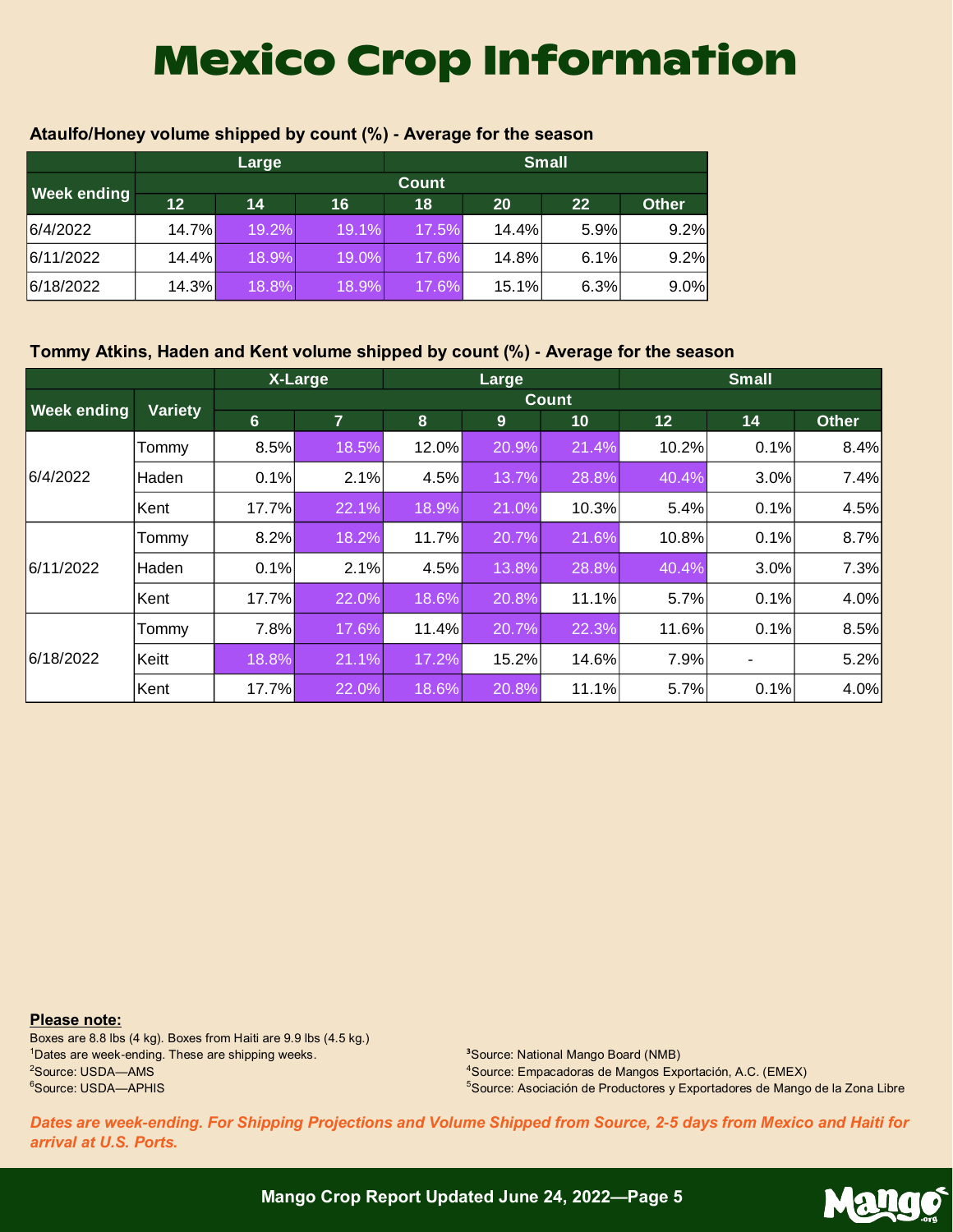## **Mexico Crop Information**

|                    |       | Large |       | <b>Small</b> |       |      |              |  |  |
|--------------------|-------|-------|-------|--------------|-------|------|--------------|--|--|
| <b>Week ending</b> |       |       |       | <b>Count</b> |       |      |              |  |  |
|                    | 12    | 14    | 16    | 18           | 20    | 22   | <b>Other</b> |  |  |
| 6/4/2022           | 14.7% | 19.2% | 19.1% | 17.5%        | 14.4% | 5.9% | 9.2%         |  |  |
| 6/11/2022          | 14.4% | 18.9% | 19.0% | 17.6%        | 14.8% | 6.1% | 9.2%         |  |  |
| 6/18/2022          | 14.3% | 18.8% | 18.9% | 17.6%        | 15.1% | 6.3% | 9.0%         |  |  |

### **Ataulfo/Honey volume shipped by count (%) - Average for the season**

### **Tommy Atkins, Haden and Kent volume shipped by count (%) - Average for the season**

|                    |         |                  | X-Large |       | Large |              |       | <b>Small</b> |              |
|--------------------|---------|------------------|---------|-------|-------|--------------|-------|--------------|--------------|
| <b>Week ending</b> | Variety |                  |         |       |       | <b>Count</b> |       |              |              |
|                    |         | $6 \overline{6}$ | 7       | 8     | 9     | 10           | 12    | 14           | <b>Other</b> |
| 6/4/2022           | Tommy   | 8.5%             | 18.5%   | 12.0% | 20.9% | 21.4%        | 10.2% | 0.1%         | 8.4%         |
|                    | Haden   | 0.1%             | 2.1%    | 4.5%  | 13.7% | 28.8%        | 40.4% | 3.0%         | 7.4%         |
|                    | Kent    | 17.7%            | 22.1%   | 18.9% | 21.0% | 10.3%        | 5.4%  | 0.1%         | 4.5%         |
|                    | Tommy   | 8.2%             | 18.2%   | 11.7% | 20.7% | 21.6%        | 10.8% | 0.1%         | 8.7%         |
| 6/11/2022          | Haden   | 0.1%             | 2.1%    | 4.5%  | 13.8% | 28.8%        | 40.4% | 3.0%         | 7.3%         |
|                    | Kent    | 17.7%            | 22.0%   | 18.6% | 20.8% | 11.1%        | 5.7%  | 0.1%         | 4.0%         |
|                    | Tommy   | 7.8%             | 17.6%   | 11.4% | 20.7% | 22.3%        | 11.6% | 0.1%         | 8.5%         |
| 6/18/2022          | Keitt   | 18.8%            | 21.1%   | 17.2% | 15.2% | 14.6%        | 7.9%  |              | 5.2%         |
|                    | Kent    | 17.7%            | 22.0%   | 18.6% | 20.8% | 11.1%        | 5.7%  | 0.1%         | 4.0%         |

**Please note:**

Boxes are 8.8 lbs (4 kg). Boxes from Haiti are 9.9 lbs (4.5 kg.) <sup>1</sup>Dates are week-ending. These are shipping weeks. <sup>2</sup>Source: USDA-AMS <sup>6</sup>Source: USDA—APHIS

**<sup>3</sup>**Source: National Mango Board (NMB) <sup>4</sup>Source: Empacadoras de Mangos Exportación, A.C. (EMEX) <sup>5</sup>Source: Asociación de Productores y Exportadores de Mango de la Zona Libre

*Dates are week-ending. For Shipping Projections and Volume Shipped from Source, 2-5 days from Mexico and Haiti for arrival at U.S. Ports.*

Mango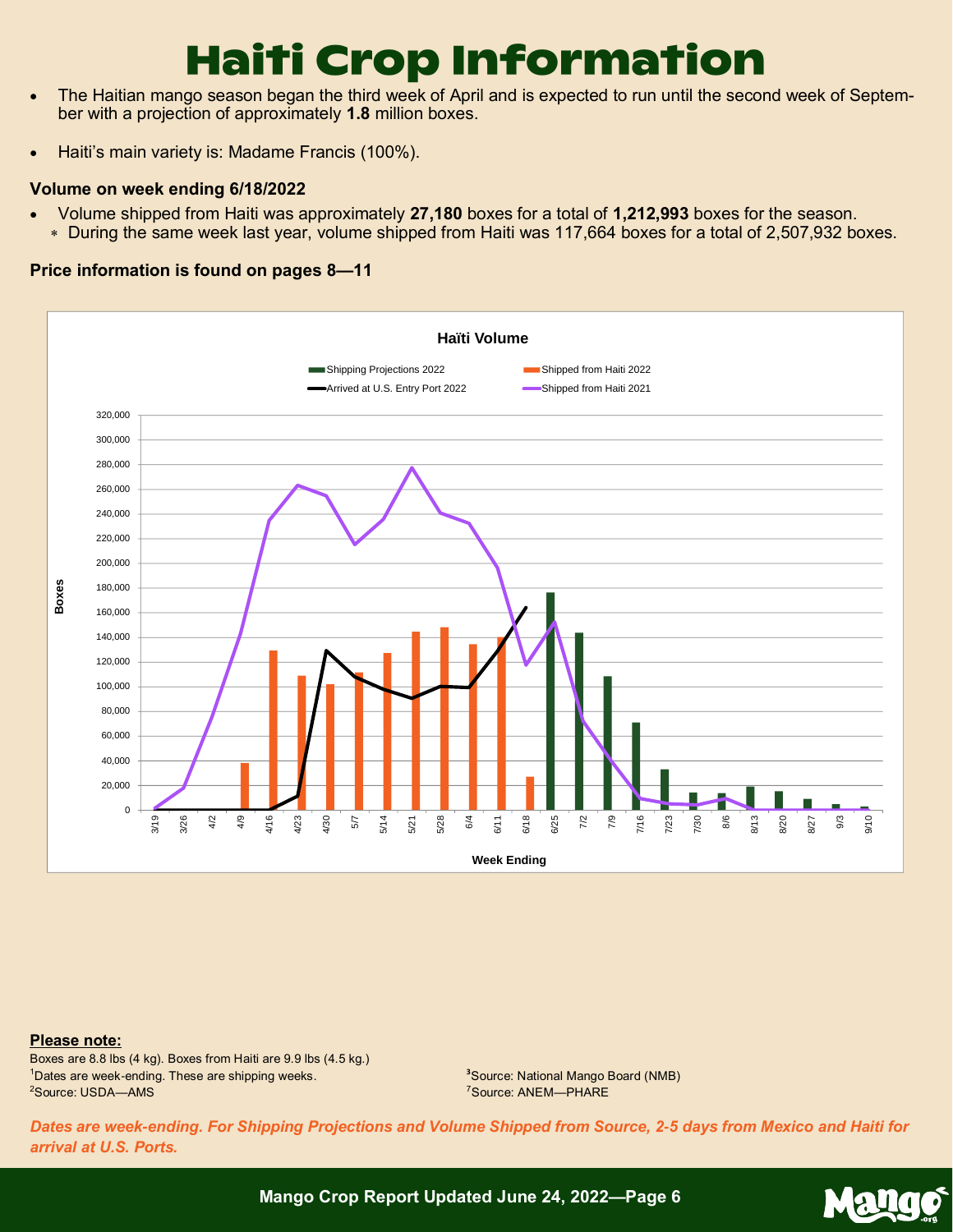## **Haiti Crop Information**

- The Haitian mango season began the third week of April and is expected to run until the second week of September with a projection of approximately **1.8** million boxes.
- Haiti's main variety is: Madame Francis (100%).

### **Volume on week ending 6/18/2022**

- Volume shipped from Haiti was approximately **27,180** boxes for a total of **1,212,993** boxes for the season.
	- During the same week last year, volume shipped from Haiti was 117,664 boxes for a total of 2,507,932 boxes.

### **Price information is found on pages 8—11**



#### **Please note:**

Boxes are 8.8 lbs (4 kg). Boxes from Haiti are 9.9 lbs (4.5 kg.) <sup>1</sup>Dates are week-ending. These are shipping weeks. <sup>2</sup>Source: USDA-AMS

**<sup>3</sup>**Source: National Mango Board (NMB) <sup>7</sup>Source: ANEM—PHARE

*Dates are week-ending. For Shipping Projections and Volume Shipped from Source, 2-5 days from Mexico and Haiti for arrival at U.S. Ports.*

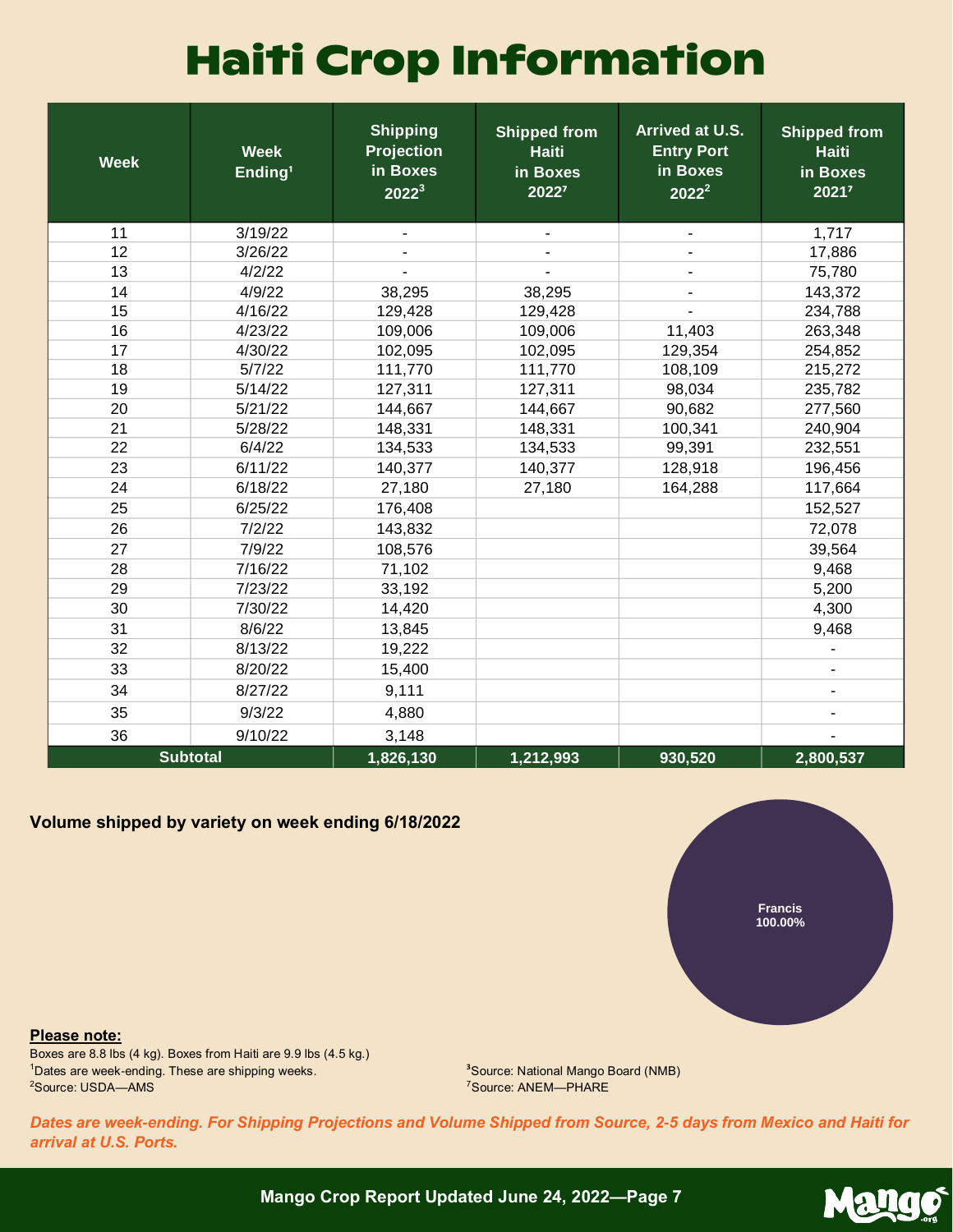## **Haiti Crop Information**

| <b>Week</b> | <b>Week</b><br>Ending <sup>1</sup> | <b>Shipping</b><br><b>Projection</b><br>in Boxes<br>$2022^3$ | <b>Shipped from</b><br><b>Haiti</b><br>in Boxes<br>20227 | Arrived at U.S.<br><b>Entry Port</b><br>in Boxes<br>$2022^2$ | <b>Shipped from</b><br><b>Haiti</b><br>in Boxes<br>20217 |
|-------------|------------------------------------|--------------------------------------------------------------|----------------------------------------------------------|--------------------------------------------------------------|----------------------------------------------------------|
| 11          | 3/19/22                            | $\overline{\phantom{a}}$                                     |                                                          | $\blacksquare$                                               | 1,717                                                    |
| 12          | 3/26/22                            |                                                              |                                                          |                                                              | 17,886                                                   |
| 13          | 4/2/22                             |                                                              |                                                          |                                                              | 75,780                                                   |
| 14          | 4/9/22                             | 38,295                                                       | 38,295                                                   |                                                              | 143,372                                                  |
| 15          | 4/16/22                            | 129,428                                                      | 129,428                                                  |                                                              | 234,788                                                  |
| 16          | 4/23/22                            | 109,006                                                      | 109,006                                                  | 11,403                                                       | 263,348                                                  |
| 17          | 4/30/22                            | 102,095                                                      | 102,095                                                  | 129,354                                                      | 254,852                                                  |
| 18          | 5/7/22                             | 111,770                                                      | 111,770                                                  | 108,109                                                      | 215,272                                                  |
| 19          | 5/14/22                            | 127,311                                                      | 127,311                                                  | 98,034                                                       | 235,782                                                  |
| 20          | 5/21/22                            | 144,667                                                      | 144,667                                                  | 90,682                                                       | 277,560                                                  |
| 21          | 5/28/22                            | 148,331                                                      | 148,331                                                  | 100,341                                                      | 240,904                                                  |
| 22          | 6/4/22                             | 134,533                                                      | 134,533                                                  | 99,391                                                       | 232,551                                                  |
| 23          | 6/11/22                            | 140,377                                                      | 140,377                                                  | 128,918                                                      | 196,456                                                  |
| 24          | 6/18/22                            | 27,180                                                       | 27,180                                                   | 164,288                                                      | 117,664                                                  |
| 25          | 6/25/22                            | 176,408                                                      |                                                          |                                                              | 152,527                                                  |
| 26          | 7/2/22                             | 143,832                                                      |                                                          |                                                              | 72,078                                                   |
| 27          | 7/9/22                             | 108,576                                                      |                                                          |                                                              | 39,564                                                   |
| 28          | 7/16/22                            | 71,102                                                       |                                                          |                                                              | 9,468                                                    |
| 29          | 7/23/22                            | 33,192                                                       |                                                          |                                                              | 5,200                                                    |
| 30          | 7/30/22                            | 14,420                                                       |                                                          |                                                              | 4,300                                                    |
| 31          | 8/6/22                             | 13,845                                                       |                                                          |                                                              | 9,468                                                    |
| 32          | 8/13/22                            | 19,222                                                       |                                                          |                                                              |                                                          |
| 33          | 8/20/22                            | 15,400                                                       |                                                          |                                                              |                                                          |
| 34          | 8/27/22                            | 9,111                                                        |                                                          |                                                              |                                                          |
| 35          | 9/3/22                             | 4,880                                                        |                                                          |                                                              |                                                          |
| 36          | 9/10/22                            | 3,148                                                        |                                                          |                                                              |                                                          |
|             | <b>Subtotal</b>                    | 1,826,130                                                    | 1,212,993                                                | 930,520                                                      | 2,800,537                                                |

### **Volume shipped by variety on week ending 6/18/2022**



**Please note:**

Boxes are 8.8 lbs (4 kg). Boxes from Haiti are 9.9 lbs (4.5 kg.) <sup>1</sup>Dates are week-ending. These are shipping weeks. <sup>2</sup>Source: USDA-AMS

**<sup>3</sup>**Source: National Mango Board (NMB) <sup>7</sup>Source: ANEM—PHARE

*Dates are week-ending. For Shipping Projections and Volume Shipped from Source, 2-5 days from Mexico and Haiti for arrival at U.S. Ports.*

> Mang  $\bullet$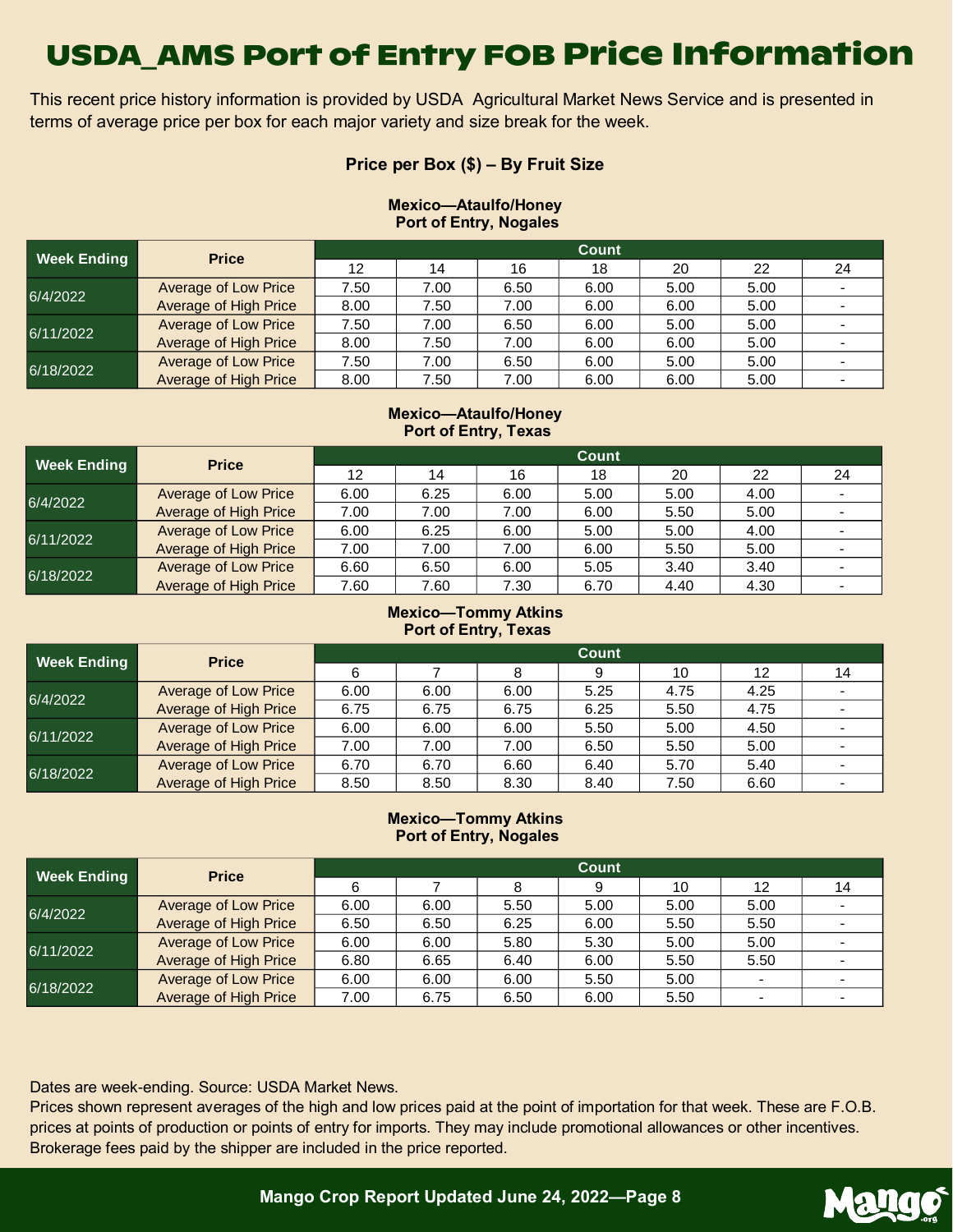This recent price history information is provided by USDA Agricultural Market News Service and is presented in terms of average price per box for each major variety and size break for the week.

### **Price per Box (\$) – By Fruit Size**

#### **Mexico—Ataulfo/Honey Port of Entry, Nogales**

| <b>Week Ending</b> | <b>Price</b>                 | Count |      |      |      |      |      |    |  |  |
|--------------------|------------------------------|-------|------|------|------|------|------|----|--|--|
|                    |                              | 12    | 14   | 16   | 18   | 20   | 22   | 24 |  |  |
| 6/4/2022           | <b>Average of Low Price</b>  | 7.50  | 7.00 | 6.50 | 6.00 | 5.00 | 5.00 |    |  |  |
|                    | <b>Average of High Price</b> | 8.00  | 7.50 | 7.00 | 6.00 | 6.00 | 5.00 |    |  |  |
| 6/11/2022          | <b>Average of Low Price</b>  | 7.50  | 7.00 | 6.50 | 6.00 | 5.00 | 5.00 |    |  |  |
|                    | <b>Average of High Price</b> | 8.00  | 7.50 | 7.00 | 6.00 | 6.00 | 5.00 |    |  |  |
| 6/18/2022          | <b>Average of Low Price</b>  | 7.50  | 7.00 | 6.50 | 6.00 | 5.00 | 5.00 |    |  |  |
|                    | <b>Average of High Price</b> | 8.00  | 7.50 | 7.00 | 6.00 | 6.00 | 5.00 |    |  |  |

#### **Mexico—Ataulfo/Honey Port of Entry, Texas**

| <b>Week Ending</b> | <b>Price</b>                 | Count |      |      |      |      |      |    |  |  |
|--------------------|------------------------------|-------|------|------|------|------|------|----|--|--|
|                    |                              | 12    | 14   | 16   | 18   | 20   | 22   | 24 |  |  |
| 6/4/2022           | Average of Low Price         | 6.00  | 6.25 | 6.00 | 5.00 | 5.00 | 4.00 |    |  |  |
|                    | <b>Average of High Price</b> | 7.00  | 7.00 | 7.00 | 6.00 | 5.50 | 5.00 |    |  |  |
| 6/11/2022          | <b>Average of Low Price</b>  | 6.00  | 6.25 | 6.00 | 5.00 | 5.00 | 4.00 |    |  |  |
|                    | <b>Average of High Price</b> | 7.00  | 7.00 | 7.00 | 6.00 | 5.50 | 5.00 |    |  |  |
| 6/18/2022          | Average of Low Price         | 6.60  | 6.50 | 6.00 | 5.05 | 3.40 | 3.40 |    |  |  |
|                    | Average of High Price        | 7.60  | 7.60 | 7.30 | 6.70 | 4.40 | 4.30 |    |  |  |

#### **Mexico—Tommy Atkins Port of Entry, Texas**

| <b>Week Ending</b> | <b>Price</b>                 | Count |      |      |      |      |      |    |  |  |
|--------------------|------------------------------|-------|------|------|------|------|------|----|--|--|
|                    |                              | 6     |      | 8    | 9    | 10   | 12   | 14 |  |  |
| 6/4/2022           | Average of Low Price         | 6.00  | 6.00 | 6.00 | 5.25 | 4.75 | 4.25 |    |  |  |
|                    | Average of High Price        | 6.75  | 6.75 | 6.75 | 6.25 | 5.50 | 4.75 |    |  |  |
| 6/11/2022          | <b>Average of Low Price</b>  | 6.00  | 6.00 | 6.00 | 5.50 | 5.00 | 4.50 |    |  |  |
|                    | <b>Average of High Price</b> | 7.00  | 7.00 | 7.00 | 6.50 | 5.50 | 5.00 |    |  |  |
| 6/18/2022          | <b>Average of Low Price</b>  | 6.70  | 6.70 | 6.60 | 6.40 | 5.70 | 5.40 |    |  |  |
|                    | Average of High Price        | 8.50  | 8.50 | 8.30 | 8.40 | 7.50 | 6.60 |    |  |  |

#### **Mexico—Tommy Atkins Port of Entry, Nogales**

| <b>Week Ending</b> | <b>Price</b>                 | Count |      |      |      |      |      |    |  |  |  |
|--------------------|------------------------------|-------|------|------|------|------|------|----|--|--|--|
|                    |                              | 6     |      |      | 9    | 10   | 12   | 14 |  |  |  |
| 6/4/2022           | <b>Average of Low Price</b>  | 6.00  | 6.00 | 5.50 | 5.00 | 5.00 | 5.00 |    |  |  |  |
|                    | <b>Average of High Price</b> | 6.50  | 6.50 | 6.25 | 6.00 | 5.50 | 5.50 |    |  |  |  |
| 6/11/2022          | <b>Average of Low Price</b>  | 6.00  | 6.00 | 5.80 | 5.30 | 5.00 | 5.00 |    |  |  |  |
|                    | <b>Average of High Price</b> | 6.80  | 6.65 | 6.40 | 6.00 | 5.50 | 5.50 |    |  |  |  |
| 6/18/2022          | <b>Average of Low Price</b>  | 6.00  | 6.00 | 6.00 | 5.50 | 5.00 |      |    |  |  |  |
|                    | <b>Average of High Price</b> | 7.00  | 6.75 | 6.50 | 6.00 | 5.50 |      |    |  |  |  |

Dates are week-ending. Source: USDA Market News.

Prices shown represent averages of the high and low prices paid at the point of importation for that week. These are F.O.B. prices at points of production or points of entry for imports. They may include promotional allowances or other incentives. Brokerage fees paid by the shipper are included in the price reported.

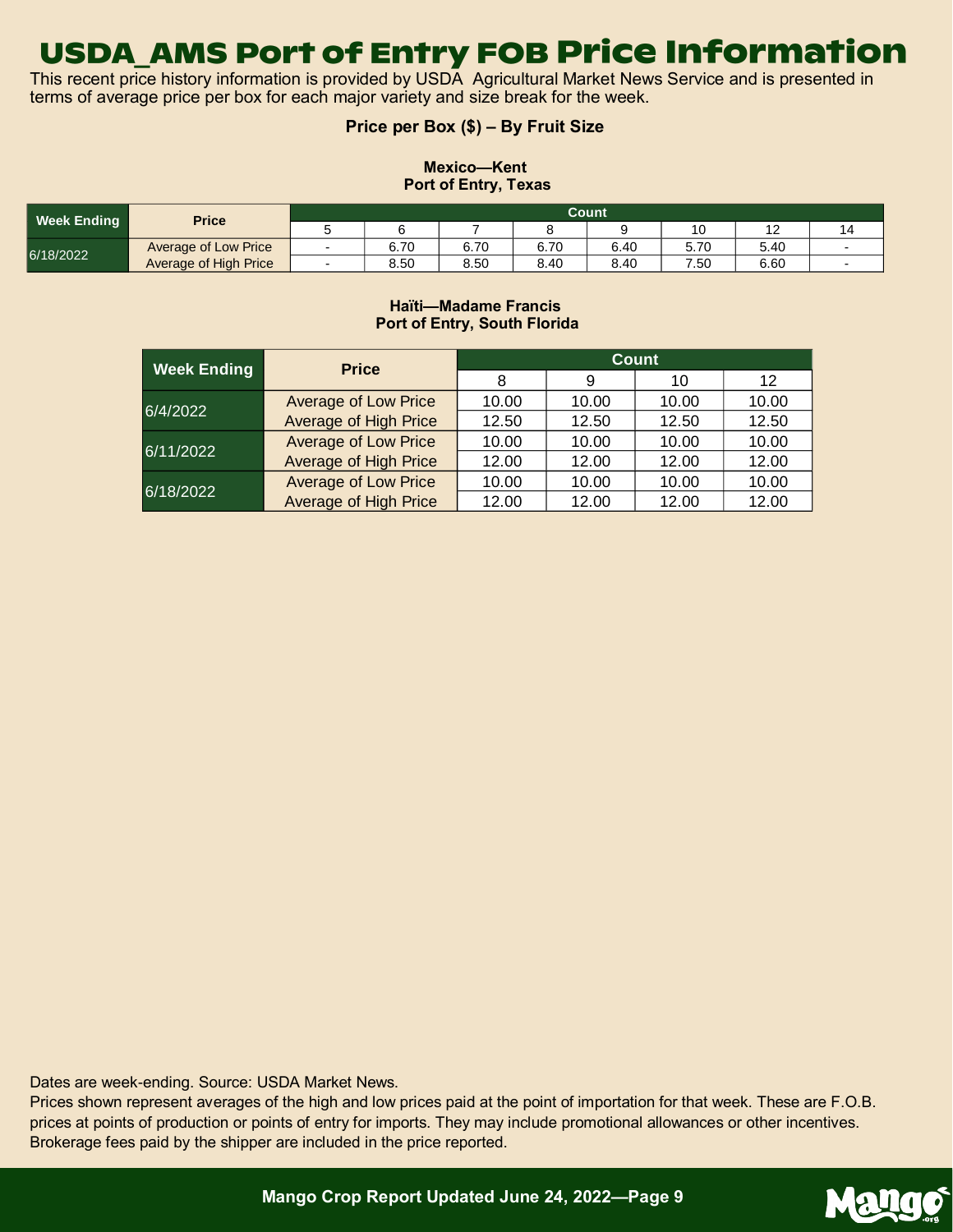This recent price history information is provided by USDA Agricultural Market News Service and is presented in terms of average price per box for each major variety and size break for the week.

### **Price per Box (\$) – By Fruit Size**

### **Mexico—Kent Port of Entry, Texas**

| Week Ending | <b>Price</b>          | Count |      |      |      |      |      |      |    |  |
|-------------|-----------------------|-------|------|------|------|------|------|------|----|--|
|             |                       |       |      |      |      |      | 10   |      | 14 |  |
| 6/18/2022   | Average of Low Price  |       | 6.70 | 6.70 | 6.70 | 6.40 | 5.70 | 5.40 |    |  |
|             | Average of High Price |       | 8.50 | 8.50 | 8.40 | 8.40 | 7.50 | 6.60 |    |  |

#### **Haïti—Madame Francis Port of Entry, South Florida**

| <b>Week Ending</b> | <b>Price</b>                 | <b>Count</b> |       |       |       |  |  |  |
|--------------------|------------------------------|--------------|-------|-------|-------|--|--|--|
|                    |                              | 8            | 9     | 10    | 12    |  |  |  |
| 6/4/2022           | <b>Average of Low Price</b>  | 10.00        | 10.00 | 10.00 | 10.00 |  |  |  |
|                    | <b>Average of High Price</b> | 12.50        | 12.50 | 12.50 | 12.50 |  |  |  |
|                    | <b>Average of Low Price</b>  | 10.00        | 10.00 | 10.00 | 10.00 |  |  |  |
| 6/11/2022          | <b>Average of High Price</b> | 12.00        | 12.00 | 12.00 | 12.00 |  |  |  |
| 6/18/2022          | <b>Average of Low Price</b>  | 10.00        | 10.00 | 10.00 | 10.00 |  |  |  |
|                    | <b>Average of High Price</b> | 12.00        | 12.00 | 12.00 | 12.00 |  |  |  |

Dates are week-ending. Source: USDA Market News.

Prices shown represent averages of the high and low prices paid at the point of importation for that week. These are F.O.B. prices at points of production or points of entry for imports. They may include promotional allowances or other incentives. Brokerage fees paid by the shipper are included in the price reported.

Mang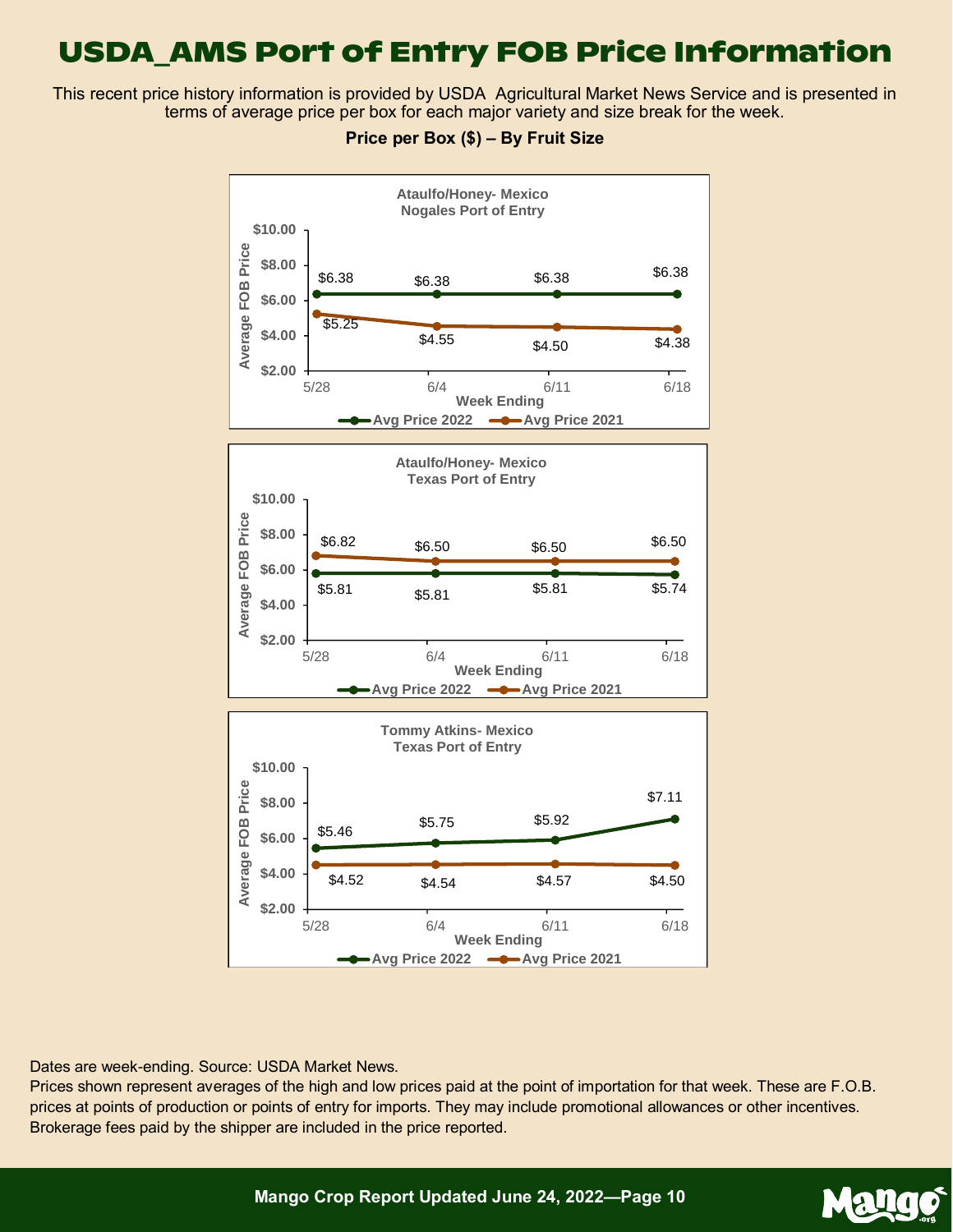This recent price history information is provided by USDA Agricultural Market News Service and is presented in terms of average price per box for each major variety and size break for the week.



### **Price per Box (\$) – By Fruit Size**

Dates are week-ending. Source: USDA Market News.

Prices shown represent averages of the high and low prices paid at the point of importation for that week. These are F.O.B. prices at points of production or points of entry for imports. They may include promotional allowances or other incentives. Brokerage fees paid by the shipper are included in the price reported.

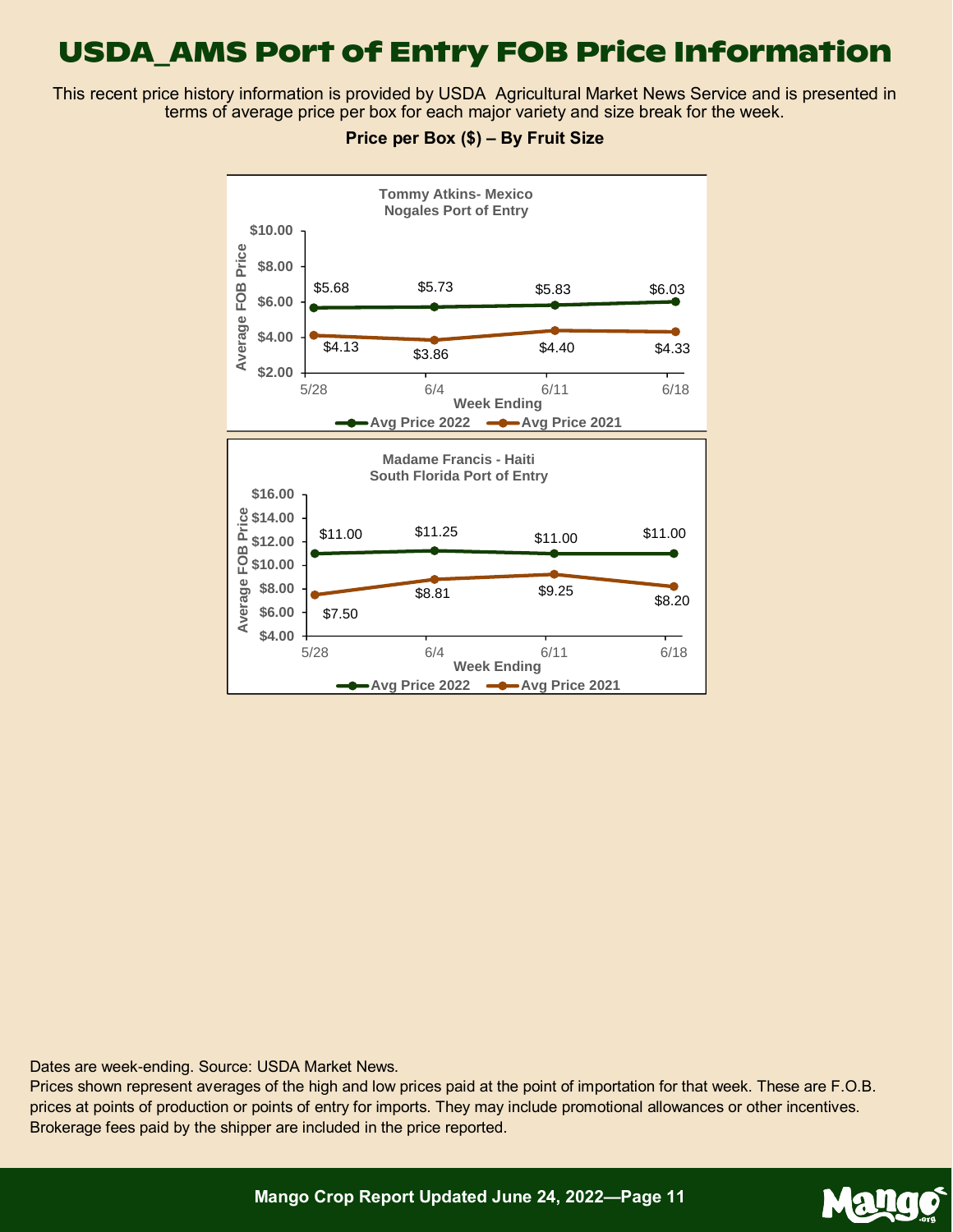This recent price history information is provided by USDA Agricultural Market News Service and is presented in terms of average price per box for each major variety and size break for the week.



### **Price per Box (\$) – By Fruit Size**

Dates are week-ending. Source: USDA Market News.

Prices shown represent averages of the high and low prices paid at the point of importation for that week. These are F.O.B. prices at points of production or points of entry for imports. They may include promotional allowances or other incentives. Brokerage fees paid by the shipper are included in the price reported.